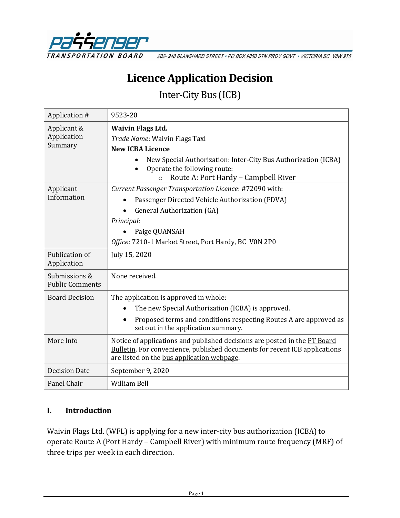

202-940 BLANSHARD STREET · PO BOX 9850 STN PROV GOVT · VICTORIA BC V8W 9T5

# **Licence Application Decision**

Inter-City Bus (ICB)

| Application #                           | 9523-20                                                                                                                                                                                                      |
|-----------------------------------------|--------------------------------------------------------------------------------------------------------------------------------------------------------------------------------------------------------------|
| Applicant &<br>Application<br>Summary   | <b>Waivin Flags Ltd.</b><br>Trade Name: Waivin Flags Taxi<br><b>New ICBA Licence</b><br>New Special Authorization: Inter-City Bus Authorization (ICBA)<br>Operate the following route:                       |
| Applicant<br>Information                | Route A: Port Hardy - Campbell River<br>$\circ$<br>Current Passenger Transportation Licence: #72090 with:<br>Passenger Directed Vehicle Authorization (PDVA)                                                 |
|                                         | <b>General Authorization (GA)</b><br>Principal:<br>Paige QUANSAH<br>Office: 7210-1 Market Street, Port Hardy, BC VON 2P0                                                                                     |
| Publication of<br>Application           | July 15, 2020                                                                                                                                                                                                |
| Submissions &<br><b>Public Comments</b> | None received.                                                                                                                                                                                               |
| <b>Board Decision</b>                   | The application is approved in whole:<br>The new Special Authorization (ICBA) is approved.<br>Proposed terms and conditions respecting Routes A are approved as<br>set out in the application summary.       |
| More Info                               | Notice of applications and published decisions are posted in the PT Board<br><b>Bulletin.</b> For convenience, published documents for recent ICB applications<br>are listed on the bus application webpage. |
| <b>Decision Date</b>                    | September 9, 2020                                                                                                                                                                                            |
| Panel Chair                             | <b>William Bell</b>                                                                                                                                                                                          |

#### **I. Introduction**

Waivin Flags Ltd. (WFL) is applying for a new inter-city bus authorization (ICBA) to operate Route A (Port Hardy – Campbell River) with minimum route frequency (MRF) of three trips per week in each direction.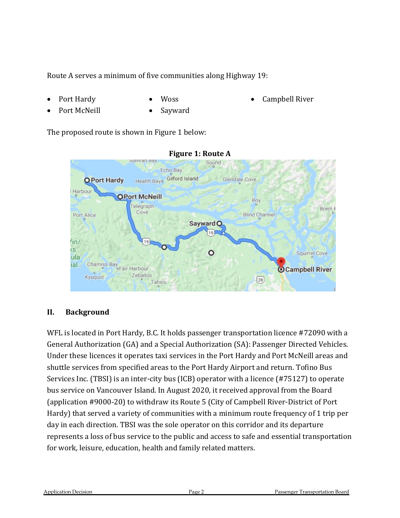Route A serves a minimum of five communities along Highway 19:

- Port Hardy
- Woss

• Campbell River

- Port McNeill
- Sayward

The proposed route is shown in Figure 1 below:



#### **Figure 1: Route A**

#### **II. Background**

WFL is located in Port Hardy, B.C. It holds passenger transportation licence #72090 with a General Authorization (GA) and a Special Authorization (SA): Passenger Directed Vehicles. Under these licences it operates taxi services in the Port Hardy and Port McNeill areas and shuttle services from specified areas to the Port Hardy Airport and return. Tofino Bus Services Inc. (TBSI) is an inter-city bus (ICB) operator with a licence (#75127) to operate bus service on Vancouver Island. In August 2020, it received approval from the Board (application #9000-20) to withdraw its Route 5 (City of Campbell River-District of Port Hardy) that served a variety of communities with a minimum route frequency of 1 trip per day in each direction. TBSI was the sole operator on this corridor and its departure represents a loss of bus service to the public and access to safe and essential transportation for work, leisure, education, health and family related matters.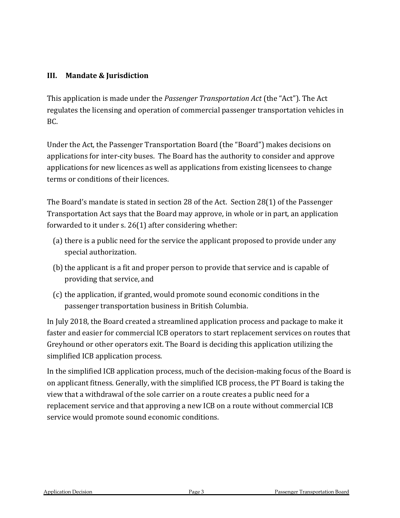### **III. Mandate & Jurisdiction**

This application is made under the *Passenger Transportation Act* (the "Act"). The Act regulates the licensing and operation of commercial passenger transportation vehicles in BC.

Under the Act, the Passenger Transportation Board (the "Board") makes decisions on applications for inter-city buses. The Board has the authority to consider and approve applications for new licences as well as applications from existing licensees to change terms or conditions of their licences.

The Board's mandate is stated in section 28 of the Act. Section 28(1) of the Passenger Transportation Act says that the Board may approve, in whole or in part, an application forwarded to it under s. 26(1) after considering whether:

- (a) there is a public need for the service the applicant proposed to provide under any special authorization.
- (b) the applicant is a fit and proper person to provide that service and is capable of providing that service, and
- (c) the application, if granted, would promote sound economic conditions in the passenger transportation business in British Columbia.

In July 2018, the Board created a streamlined application process and package to make it faster and easier for commercial ICB operators to start replacement services on routes that Greyhound or other operators exit. The Board is deciding this application utilizing the simplified ICB application process.

In the simplified ICB application process, much of the decision-making focus of the Board is on applicant fitness. Generally, with the simplified ICB process, the PT Board is taking the view that a withdrawal of the sole carrier on a route creates a public need for a replacement service and that approving a new ICB on a route without commercial ICB service would promote sound economic conditions.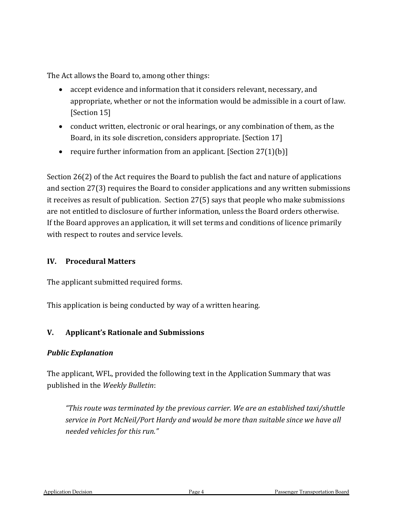The Act allows the Board to, among other things:

- accept evidence and information that it considers relevant, necessary, and appropriate, whether or not the information would be admissible in a court of law. [Section 15]
- conduct written, electronic or oral hearings, or any combination of them, as the Board, in its sole discretion, considers appropriate. [Section 17]
- require further information from an applicant. [Section  $27(1)(b)$ ]

Section 26(2) of the Act requires the Board to publish the fact and nature of applications and section 27(3) requires the Board to consider applications and any written submissions it receives as result of publication. Section 27(5) says that people who make submissions are not entitled to disclosure of further information, unless the Board orders otherwise. If the Board approves an application, it will set terms and conditions of licence primarily with respect to routes and service levels.

#### **IV. Procedural Matters**

The applicant submitted required forms.

This application is being conducted by way of a written hearing.

### **V. Applicant's Rationale and Submissions**

#### *Public Explanation*

The applicant, WFL, provided the following text in the Application Summary that was published in the *Weekly Bulletin*:

*"This route was terminated by the previous carrier. We are an established taxi/shuttle service in Port McNeil/Port Hardy and would be more than suitable since we have all needed vehicles for this run."*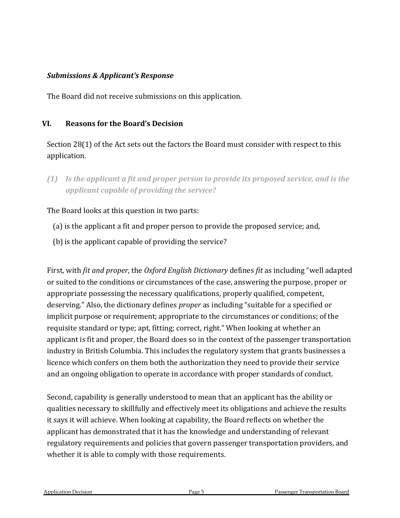#### *Submissions & Applicant's Response*

The Board did not receive submissions on this application.

#### **VI. Reasons for the Board's Decision**

Section 28(1) of the Act sets out the factors the Board must consider with respect to this application.

*(1) Is the applicant a fit and proper person to provide its proposed service, and is the applicant capable of providing the service?*

The Board looks at this question in two parts:

- (a) is the applicant a fit and proper person to provide the proposed service; and,
- (b) is the applicant capable of providing the service?

First, with *fit and proper*, the *Oxford English Dictionary* defines *fit* as including "well adapted or suited to the conditions or circumstances of the case, answering the purpose, proper or appropriate possessing the necessary qualifications, properly qualified, competent, deserving." Also, the dictionary defines *proper* as including "suitable for a specified or implicit purpose or requirement; appropriate to the circumstances or conditions; of the requisite standard or type; apt, fitting; correct, right." When looking at whether an applicant is fit and proper, the Board does so in the context of the passenger transportation industry in British Columbia. This includes the regulatory system that grants businesses a licence which confers on them both the authorization they need to provide their service and an ongoing obligation to operate in accordance with proper standards of conduct.

Second, capability is generally understood to mean that an applicant has the ability or qualities necessary to skillfully and effectively meet its obligations and achieve the results it says it will achieve. When looking at capability, the Board reflects on whether the applicant has demonstrated that it has the knowledge and understanding of relevant regulatory requirements and policies that govern passenger transportation providers, and whether it is able to comply with those requirements.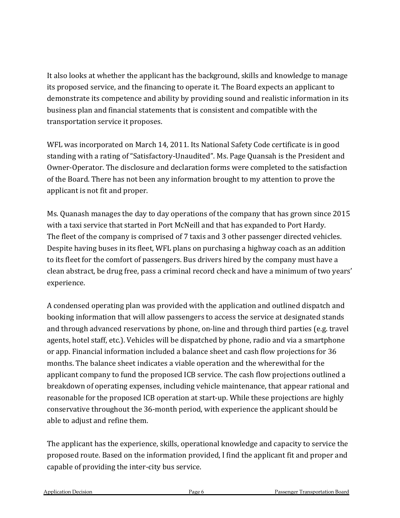It also looks at whether the applicant has the background, skills and knowledge to manage its proposed service, and the financing to operate it. The Board expects an applicant to demonstrate its competence and ability by providing sound and realistic information in its business plan and financial statements that is consistent and compatible with the transportation service it proposes.

WFL was incorporated on March 14, 2011. Its National Safety Code certificate is in good standing with a rating of "Satisfactory-Unaudited". Ms. Page Quansah is the President and Owner-Operator. The disclosure and declaration forms were completed to the satisfaction of the Board. There has not been any information brought to my attention to prove the applicant is not fit and proper.

Ms. Quanash manages the day to day operations of the company that has grown since 2015 with a taxi service that started in Port McNeill and that has expanded to Port Hardy. The fleet of the company is comprised of 7 taxis and 3 other passenger directed vehicles. Despite having buses in its fleet, WFL plans on purchasing a highway coach as an addition to its fleet for the comfort of passengers. Bus drivers hired by the company must have a clean abstract, be drug free, pass a criminal record check and have a minimum of two years' experience.

A condensed operating plan was provided with the application and outlined dispatch and booking information that will allow passengers to access the service at designated stands and through advanced reservations by phone, on-line and through third parties (e.g. travel agents, hotel staff, etc.). Vehicles will be dispatched by phone, radio and via a smartphone or app. Financial information included a balance sheet and cash flow projections for 36 months. The balance sheet indicates a viable operation and the wherewithal for the applicant company to fund the proposed ICB service. The cash flow projections outlined a breakdown of operating expenses, including vehicle maintenance, that appear rational and reasonable for the proposed ICB operation at start-up. While these projections are highly conservative throughout the 36-month period, with experience the applicant should be able to adjust and refine them.

The applicant has the experience, skills, operational knowledge and capacity to service the proposed route. Based on the information provided, I find the applicant fit and proper and capable of providing the inter-city bus service.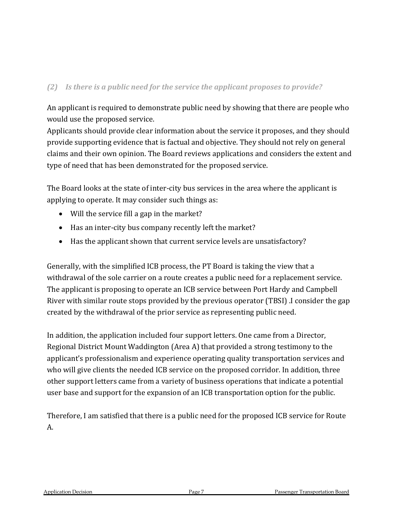### *(2) Is there is a public need for the service the applicant proposes to provide?*

An applicant is required to demonstrate public need by showing that there are people who would use the proposed service.

Applicants should provide clear information about the service it proposes, and they should provide supporting evidence that is factual and objective. They should not rely on general claims and their own opinion. The Board reviews applications and considers the extent and type of need that has been demonstrated for the proposed service.

The Board looks at the state of inter-city bus services in the area where the applicant is applying to operate. It may consider such things as:

- Will the service fill a gap in the market?
- Has an inter-city bus company recently left the market?
- Has the applicant shown that current service levels are unsatisfactory?

Generally, with the simplified ICB process, the PT Board is taking the view that a withdrawal of the sole carrier on a route creates a public need for a replacement service. The applicant is proposing to operate an ICB service between Port Hardy and Campbell River with similar route stops provided by the previous operator (TBSI) .I consider the gap created by the withdrawal of the prior service as representing public need.

In addition, the application included four support letters. One came from a Director, Regional District Mount Waddington (Area A) that provided a strong testimony to the applicant's professionalism and experience operating quality transportation services and who will give clients the needed ICB service on the proposed corridor. In addition, three other support letters came from a variety of business operations that indicate a potential user base and support for the expansion of an ICB transportation option for the public.

Therefore, I am satisfied that there is a public need for the proposed ICB service for Route A.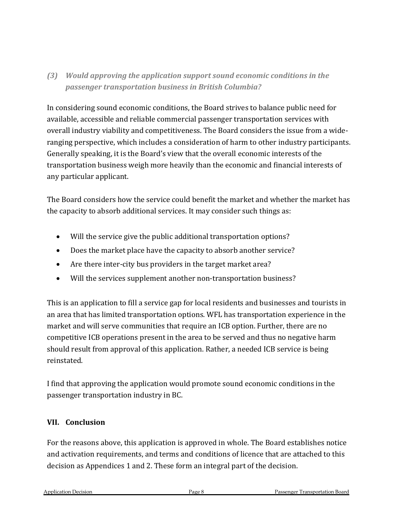### *(3) Would approving the application support sound economic conditions in the passenger transportation business in British Columbia?*

In considering sound economic conditions, the Board strives to balance public need for available, accessible and reliable commercial passenger transportation services with overall industry viability and competitiveness. The Board considers the issue from a wideranging perspective, which includes a consideration of harm to other industry participants. Generally speaking, it is the Board's view that the overall economic interests of the transportation business weigh more heavily than the economic and financial interests of any particular applicant.

The Board considers how the service could benefit the market and whether the market has the capacity to absorb additional services. It may consider such things as:

- Will the service give the public additional transportation options?
- Does the market place have the capacity to absorb another service?
- Are there inter-city bus providers in the target market area?
- Will the services supplement another non-transportation business?

This is an application to fill a service gap for local residents and businesses and tourists in an area that has limited transportation options. WFL has transportation experience in the market and will serve communities that require an ICB option. Further, there are no competitive ICB operations present in the area to be served and thus no negative harm should result from approval of this application. Rather, a needed ICB service is being reinstated.

I find that approving the application would promote sound economic conditions in the passenger transportation industry in BC.

#### **VII. Conclusion**

For the reasons above, this application is approved in whole. The Board establishes notice and activation requirements, and terms and conditions of licence that are attached to this decision as Appendices 1 and 2. These form an integral part of the decision.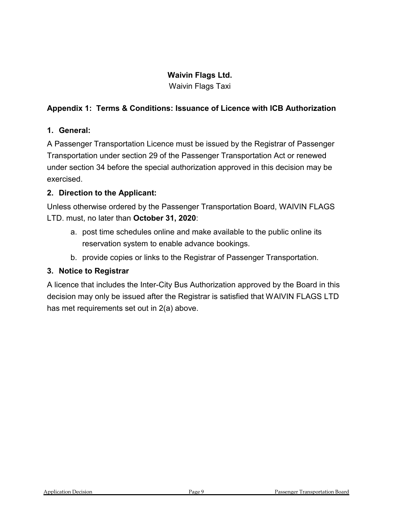### **Waivin Flags Ltd.**

Waivin Flags Taxi

### **Appendix 1: Terms & Conditions: Issuance of Licence with ICB Authorization**

### **1. General:**

A Passenger Transportation Licence must be issued by the Registrar of Passenger Transportation under section 29 of the Passenger Transportation Act or renewed under section 34 before the special authorization approved in this decision may be exercised.

### **2. Direction to the Applicant:**

Unless otherwise ordered by the Passenger Transportation Board, WAIVIN FLAGS LTD. must, no later than **October 31, 2020**:

- a. post time schedules online and make available to the public online its reservation system to enable advance bookings.
- b. provide copies or links to the Registrar of Passenger Transportation.

### **3. Notice to Registrar**

A licence that includes the Inter-City Bus Authorization approved by the Board in this decision may only be issued after the Registrar is satisfied that WAIVIN FLAGS LTD has met requirements set out in 2(a) above.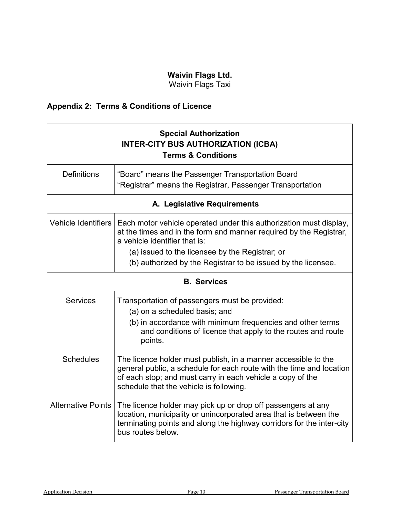## **Waivin Flags Ltd.**

Waivin Flags Taxi

# **Appendix 2: Terms & Conditions of Licence**

| <b>Special Authorization</b><br><b>INTER-CITY BUS AUTHORIZATION (ICBA)</b><br><b>Terms &amp; Conditions</b> |                                                                                                                                                                                                                                                 |  |
|-------------------------------------------------------------------------------------------------------------|-------------------------------------------------------------------------------------------------------------------------------------------------------------------------------------------------------------------------------------------------|--|
| <b>Definitions</b>                                                                                          | "Board" means the Passenger Transportation Board<br>"Registrar" means the Registrar, Passenger Transportation                                                                                                                                   |  |
| A. Legislative Requirements                                                                                 |                                                                                                                                                                                                                                                 |  |
| Vehicle Identifiers                                                                                         | Each motor vehicle operated under this authorization must display,<br>at the times and in the form and manner required by the Registrar,<br>a vehicle identifier that is:                                                                       |  |
|                                                                                                             | (a) issued to the licensee by the Registrar; or                                                                                                                                                                                                 |  |
|                                                                                                             | (b) authorized by the Registrar to be issued by the licensee.                                                                                                                                                                                   |  |
| <b>B.</b> Services                                                                                          |                                                                                                                                                                                                                                                 |  |
| <b>Services</b>                                                                                             | Transportation of passengers must be provided:<br>(a) on a scheduled basis; and<br>(b) in accordance with minimum frequencies and other terms<br>and conditions of licence that apply to the routes and route<br>points.                        |  |
| <b>Schedules</b>                                                                                            | The licence holder must publish, in a manner accessible to the<br>general public, a schedule for each route with the time and location<br>of each stop; and must carry in each vehicle a copy of the<br>schedule that the vehicle is following. |  |
| <b>Alternative Points</b>                                                                                   | The licence holder may pick up or drop off passengers at any<br>location, municipality or unincorporated area that is between the<br>terminating points and along the highway corridors for the inter-city<br>bus routes below.                 |  |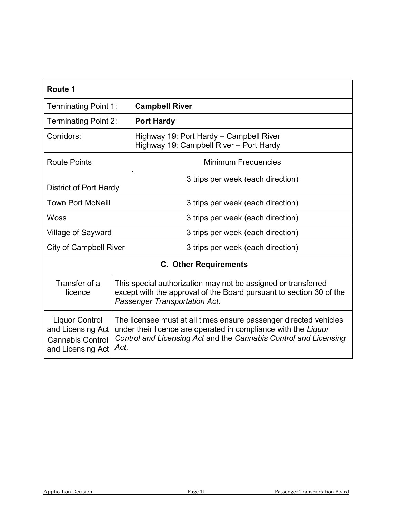| Route 1                                                                                    |                                                                                                                                                                                                                 |  |  |
|--------------------------------------------------------------------------------------------|-----------------------------------------------------------------------------------------------------------------------------------------------------------------------------------------------------------------|--|--|
| Terminating Point 1:                                                                       | <b>Campbell River</b>                                                                                                                                                                                           |  |  |
| <b>Terminating Point 2:</b>                                                                | <b>Port Hardy</b>                                                                                                                                                                                               |  |  |
| Corridors:                                                                                 | Highway 19: Port Hardy – Campbell River<br>Highway 19: Campbell River - Port Hardy                                                                                                                              |  |  |
| <b>Route Points</b>                                                                        | <b>Minimum Frequencies</b>                                                                                                                                                                                      |  |  |
| 3 trips per week (each direction)<br><b>District of Port Hardy</b>                         |                                                                                                                                                                                                                 |  |  |
| <b>Town Port McNeill</b>                                                                   | 3 trips per week (each direction)                                                                                                                                                                               |  |  |
| <b>Woss</b>                                                                                | 3 trips per week (each direction)                                                                                                                                                                               |  |  |
| Village of Sayward                                                                         | 3 trips per week (each direction)                                                                                                                                                                               |  |  |
| <b>City of Campbell River</b>                                                              | 3 trips per week (each direction)                                                                                                                                                                               |  |  |
| <b>C. Other Requirements</b>                                                               |                                                                                                                                                                                                                 |  |  |
| Transfer of a<br>licence                                                                   | This special authorization may not be assigned or transferred<br>except with the approval of the Board pursuant to section 30 of the<br>Passenger Transportation Act.                                           |  |  |
| <b>Liquor Control</b><br>and Licensing Act<br><b>Cannabis Control</b><br>and Licensing Act | The licensee must at all times ensure passenger directed vehicles<br>under their licence are operated in compliance with the Liquor<br>Control and Licensing Act and the Cannabis Control and Licensing<br>Act. |  |  |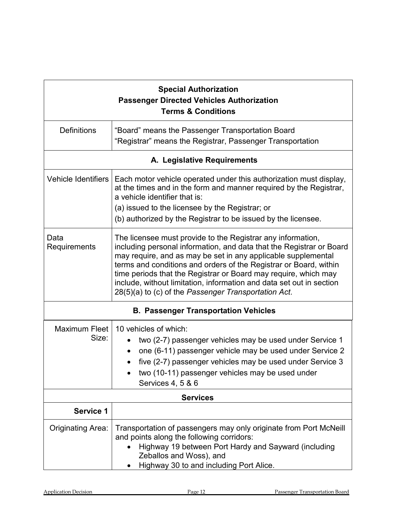| <b>Special Authorization</b><br><b>Passenger Directed Vehicles Authorization</b><br><b>Terms &amp; Conditions</b> |                                                                                                                                                                                                                                                                                                                                                                                                                                                                              |  |
|-------------------------------------------------------------------------------------------------------------------|------------------------------------------------------------------------------------------------------------------------------------------------------------------------------------------------------------------------------------------------------------------------------------------------------------------------------------------------------------------------------------------------------------------------------------------------------------------------------|--|
| <b>Definitions</b>                                                                                                | "Board" means the Passenger Transportation Board<br>"Registrar" means the Registrar, Passenger Transportation                                                                                                                                                                                                                                                                                                                                                                |  |
| A. Legislative Requirements                                                                                       |                                                                                                                                                                                                                                                                                                                                                                                                                                                                              |  |
| <b>Vehicle Identifiers</b>                                                                                        | Each motor vehicle operated under this authorization must display,<br>at the times and in the form and manner required by the Registrar,<br>a vehicle identifier that is:<br>(a) issued to the licensee by the Registrar; or<br>(b) authorized by the Registrar to be issued by the licensee.                                                                                                                                                                                |  |
| Data<br>Requirements                                                                                              | The licensee must provide to the Registrar any information,<br>including personal information, and data that the Registrar or Board<br>may require, and as may be set in any applicable supplemental<br>terms and conditions and orders of the Registrar or Board, within<br>time periods that the Registrar or Board may require, which may<br>include, without limitation, information and data set out in section<br>28(5)(a) to (c) of the Passenger Transportation Act. |  |
| <b>B. Passenger Transportation Vehicles</b>                                                                       |                                                                                                                                                                                                                                                                                                                                                                                                                                                                              |  |
| <b>Maximum Fleet</b><br>Size:                                                                                     | 10 vehicles of which:<br>two (2-7) passenger vehicles may be used under Service 1<br>one (6-11) passenger vehicle may be used under Service 2<br>five (2-7) passenger vehicles may be used under Service 3<br>two (10-11) passenger vehicles may be used under<br>Services 4, 5 & 6                                                                                                                                                                                          |  |
| <b>Services</b>                                                                                                   |                                                                                                                                                                                                                                                                                                                                                                                                                                                                              |  |
| <b>Service 1</b>                                                                                                  |                                                                                                                                                                                                                                                                                                                                                                                                                                                                              |  |
| <b>Originating Area:</b>                                                                                          | Transportation of passengers may only originate from Port McNeill<br>and points along the following corridors:<br>Highway 19 between Port Hardy and Sayward (including<br>Zeballos and Woss), and<br>Highway 30 to and including Port Alice.                                                                                                                                                                                                                                 |  |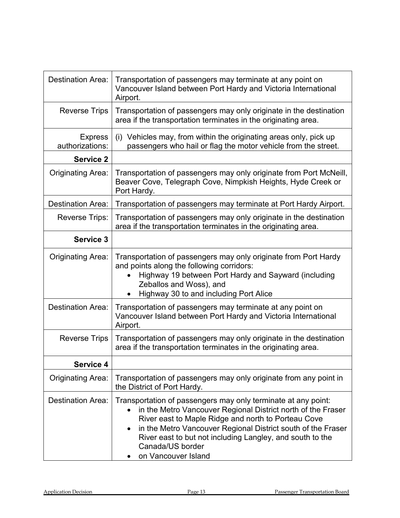| Destination Area:                 | Transportation of passengers may terminate at any point on<br>Vancouver Island between Port Hardy and Victoria International<br>Airport.                                                                                                                                                                                                                     |
|-----------------------------------|--------------------------------------------------------------------------------------------------------------------------------------------------------------------------------------------------------------------------------------------------------------------------------------------------------------------------------------------------------------|
| <b>Reverse Trips</b>              | Transportation of passengers may only originate in the destination<br>area if the transportation terminates in the originating area.                                                                                                                                                                                                                         |
| <b>Express</b><br>authorizations: | Vehicles may, from within the originating areas only, pick up<br>(i)<br>passengers who hail or flag the motor vehicle from the street.                                                                                                                                                                                                                       |
| <b>Service 2</b>                  |                                                                                                                                                                                                                                                                                                                                                              |
| <b>Originating Area:</b>          | Transportation of passengers may only originate from Port McNeill,<br>Beaver Cove, Telegraph Cove, Nimpkish Heights, Hyde Creek or<br>Port Hardy.                                                                                                                                                                                                            |
| <b>Destination Area:</b>          | Transportation of passengers may terminate at Port Hardy Airport.                                                                                                                                                                                                                                                                                            |
| <b>Reverse Trips:</b>             | Transportation of passengers may only originate in the destination<br>area if the transportation terminates in the originating area.                                                                                                                                                                                                                         |
| <b>Service 3</b>                  |                                                                                                                                                                                                                                                                                                                                                              |
| Originating Area:                 | Transportation of passengers may only originate from Port Hardy<br>and points along the following corridors:<br>Highway 19 between Port Hardy and Sayward (including<br>Zeballos and Woss), and<br>Highway 30 to and including Port Alice                                                                                                                    |
| <b>Destination Area:</b>          | Transportation of passengers may terminate at any point on<br>Vancouver Island between Port Hardy and Victoria International<br>Airport.                                                                                                                                                                                                                     |
| <b>Reverse Trips</b>              | Transportation of passengers may only originate in the destination<br>area if the transportation terminates in the originating area.                                                                                                                                                                                                                         |
| <b>Service 4</b>                  |                                                                                                                                                                                                                                                                                                                                                              |
| <b>Originating Area:</b>          | Transportation of passengers may only originate from any point in<br>the District of Port Hardy.                                                                                                                                                                                                                                                             |
| <b>Destination Area:</b>          | Transportation of passengers may only terminate at any point:<br>in the Metro Vancouver Regional District north of the Fraser<br>River east to Maple Ridge and north to Porteau Cove<br>in the Metro Vancouver Regional District south of the Fraser<br>River east to but not including Langley, and south to the<br>Canada/US border<br>on Vancouver Island |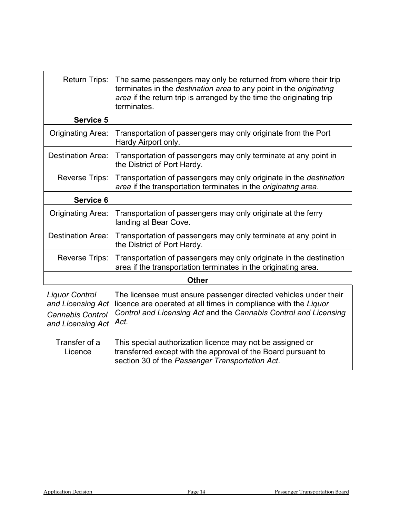| <b>Return Trips:</b>                                                                       | The same passengers may only be returned from where their trip<br>terminates in the destination area to any point in the originating<br>area if the return trip is arranged by the time the originating trip<br>terminates. |  |
|--------------------------------------------------------------------------------------------|-----------------------------------------------------------------------------------------------------------------------------------------------------------------------------------------------------------------------------|--|
| <b>Service 5</b>                                                                           |                                                                                                                                                                                                                             |  |
| <b>Originating Area:</b>                                                                   | Transportation of passengers may only originate from the Port<br>Hardy Airport only.                                                                                                                                        |  |
| Destination Area:                                                                          | Transportation of passengers may only terminate at any point in<br>the District of Port Hardy.                                                                                                                              |  |
| <b>Reverse Trips:</b>                                                                      | Transportation of passengers may only originate in the destination<br>area if the transportation terminates in the originating area.                                                                                        |  |
| Service 6                                                                                  |                                                                                                                                                                                                                             |  |
| <b>Originating Area:</b>                                                                   | Transportation of passengers may only originate at the ferry<br>landing at Bear Cove.                                                                                                                                       |  |
| <b>Destination Area:</b>                                                                   | Transportation of passengers may only terminate at any point in<br>the District of Port Hardy.                                                                                                                              |  |
| <b>Reverse Trips:</b>                                                                      | Transportation of passengers may only originate in the destination<br>area if the transportation terminates in the originating area.                                                                                        |  |
| <b>Other</b>                                                                               |                                                                                                                                                                                                                             |  |
| <b>Liquor Control</b><br>and Licensing Act<br><b>Cannabis Control</b><br>and Licensing Act | The licensee must ensure passenger directed vehicles under their<br>licence are operated at all times in compliance with the Liquor<br>Control and Licensing Act and the Cannabis Control and Licensing<br>Act.             |  |
| Transfer of a<br>Licence                                                                   | This special authorization licence may not be assigned or<br>transferred except with the approval of the Board pursuant to<br>section 30 of the Passenger Transportation Act.                                               |  |